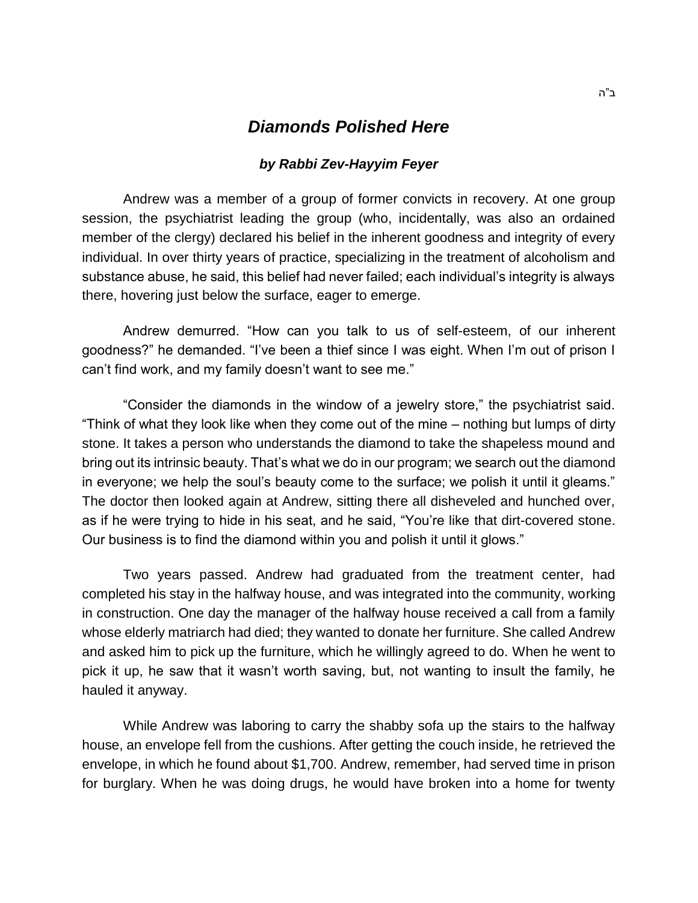## *Diamonds Polished Here*

## *by Rabbi Zev-Hayyim Feyer*

Andrew was a member of a group of former convicts in recovery. At one group session, the psychiatrist leading the group (who, incidentally, was also an ordained member of the clergy) declared his belief in the inherent goodness and integrity of every individual. In over thirty years of practice, specializing in the treatment of alcoholism and substance abuse, he said, this belief had never failed; each individual's integrity is always there, hovering just below the surface, eager to emerge.

Andrew demurred. "How can you talk to us of self-esteem, of our inherent goodness?" he demanded. "I've been a thief since I was eight. When I'm out of prison I can't find work, and my family doesn't want to see me."

"Consider the diamonds in the window of a jewelry store," the psychiatrist said. "Think of what they look like when they come out of the mine – nothing but lumps of dirty stone. It takes a person who understands the diamond to take the shapeless mound and bring out its intrinsic beauty. That's what we do in our program; we search out the diamond in everyone; we help the soul's beauty come to the surface; we polish it until it gleams." The doctor then looked again at Andrew, sitting there all disheveled and hunched over, as if he were trying to hide in his seat, and he said, "You're like that dirt-covered stone. Our business is to find the diamond within you and polish it until it glows."

Two years passed. Andrew had graduated from the treatment center, had completed his stay in the halfway house, and was integrated into the community, working in construction. One day the manager of the halfway house received a call from a family whose elderly matriarch had died; they wanted to donate her furniture. She called Andrew and asked him to pick up the furniture, which he willingly agreed to do. When he went to pick it up, he saw that it wasn't worth saving, but, not wanting to insult the family, he hauled it anyway.

While Andrew was laboring to carry the shabby sofa up the stairs to the halfway house, an envelope fell from the cushions. After getting the couch inside, he retrieved the envelope, in which he found about \$1,700. Andrew, remember, had served time in prison for burglary. When he was doing drugs, he would have broken into a home for twenty